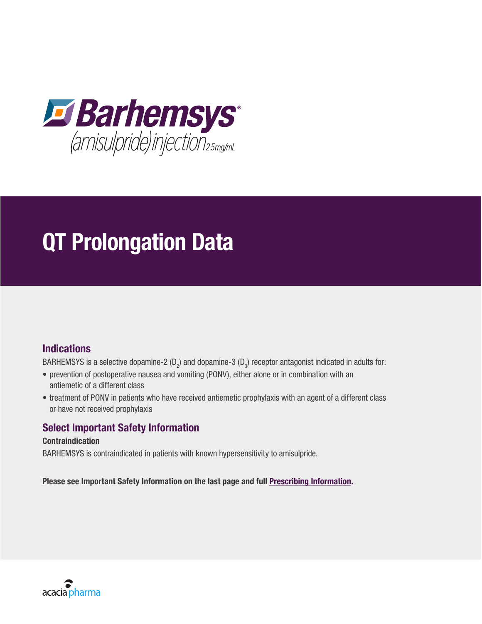

# QT Prolongation Data

# **Indications**

BARHEMSYS is a selective dopamine-2 (D<sub>2</sub>) and dopamine-3 (D<sub>3</sub>) receptor antagonist indicated in adults for:

- prevention of postoperative nausea and vomiting (PONV), either alone or in combination with an antiemetic of a different class
- treatment of PONV in patients who have received antiemetic prophylaxis with an agent of a different class or have not received prophylaxis

# Select Important Safety Information

#### Contraindication

BARHEMSYS is contraindicated in patients with known hypersensitivity to amisulpride.

Please see Important Safety Information on the last page and full [Prescribing Information](https://bynder.acaciapharma.com/m/5d7c2cd0d58865f7/original/Barhemsys-Prescribing-Information.pdf).

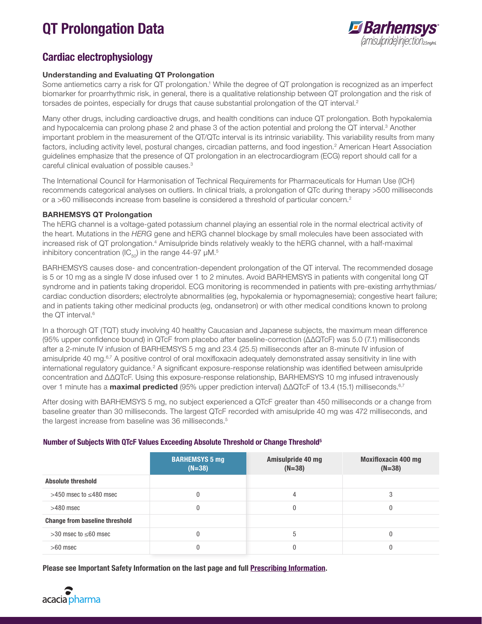# QT Prolongation Data



# Cardiac electrophysiology

#### Understanding and Evaluating QT Prolongation

Some antiemetics carry a risk for QT prolongation.<sup>1</sup> While the degree of QT prolongation is recognized as an imperfect biomarker for proarrhythmic risk, in general, there is a qualitative relationship between QT prolongation and the risk of torsades de pointes, especially for drugs that cause substantial prolongation of the QT interval.<sup>2</sup>

Many other drugs, including cardioactive drugs, and health conditions can induce QT prolongation. Both hypokalemia and hypocalcemia can prolong phase 2 and phase 3 of the action potential and prolong the QT interval.<sup>3</sup> Another important problem in the measurement of the QT/QTc interval is its intrinsic variability. This variability results from many factors, including activity level, postural changes, circadian patterns, and food ingestion.<sup>2</sup> American Heart Association guidelines emphasize that the presence of QT prolongation in an electrocardiogram (ECG) report should call for a careful clinical evaluation of possible causes.3

The International Council for Harmonisation of Technical Requirements for Pharmaceuticals for Human Use (ICH) recommends categorical analyses on outliers. In clinical trials, a prolongation of QTc during therapy >500 milliseconds or a >60 milliseconds increase from baseline is considered a threshold of particular concern.2

#### BARHEMSYS QT Prolongation

The hERG channel is a voltage-gated potassium channel playing an essential role in the normal electrical activity of the heart. Mutations in the *HERG* gene and hERG channel blockage by small molecules have been associated with increased risk of QT prolongation.<sup>4</sup> Amisulpride binds relatively weakly to the hERG channel, with a half-maximal inhibitory concentration (IC $_{50}$ ) in the range 44-97 µM.<sup>5</sup>

BARHEMSYS causes dose- and concentration-dependent prolongation of the QT interval. The recommended dosage is 5 or 10 mg as a single IV dose infused over 1 to 2 minutes. Avoid BARHEMSYS in patients with congenital long QT syndrome and in patients taking droperidol. ECG monitoring is recommended in patients with pre-existing arrhythmias/ cardiac conduction disorders; electrolyte abnormalities (eg, hypokalemia or hypomagnesemia); congestive heart failure; and in patients taking other medicinal products (eg, ondansetron) or with other medical conditions known to prolong the QT interval.<sup>6</sup>

In a thorough QT (TQT) study involving 40 healthy Caucasian and Japanese subjects, the maximum mean difference (95% upper confidence bound) in QTcF from placebo after baseline-correction (ΔΔQTcF) was 5.0 (7.1) milliseconds after a 2-minute IV infusion of BARHEMSYS 5 mg and 23.4 (25.5) milliseconds after an 8-minute IV infusion of amisulpride 40 mg.6,7 A positive control of oral moxifloxacin adequately demonstrated assay sensitivity in line with international regulatory guidance.<sup>2</sup> A significant exposure-response relationship was identified between amisulpride concentration and ΔΔQTcF. Using this exposure-response relationship, BARHEMSYS 10 mg infused intravenously over 1 minute has a **maximal predicted** (95% upper prediction interval) ΔΔQTcF of 13.4 (15.1) milliseconds.<sup>6,7</sup>

After dosing with BARHEMSYS 5 mg, no subject experienced a QTcF greater than 450 milliseconds or a change from baseline greater than 30 milliseconds. The largest QTcF recorded with amisulpride 40 mg was 472 milliseconds, and the largest increase from baseline was 36 milliseconds.<sup>5</sup>

#### Number of Subjects With QTcF Values Exceeding Absolute Threshold or Change Threshold5

|                                       | <b>BARHEMSYS 5 mg</b><br>$(N=38)$ | Amisulpride 40 mg<br>$(N=38)$ | <b>Moxifloxacin 400 mg</b><br>$(N=38)$ |
|---------------------------------------|-----------------------------------|-------------------------------|----------------------------------------|
| <b>Absolute threshold</b>             |                                   |                               |                                        |
| $>450$ msec to $\leq$ 480 msec        |                                   |                               | 3                                      |
| $>480$ msec                           |                                   |                               | O                                      |
| <b>Change from baseline threshold</b> |                                   |                               |                                        |
| $>30$ msec to $\leq 60$ msec          | O                                 | 5                             | O                                      |
| $>60$ msec                            |                                   |                               |                                        |

Please see Important Safety Information on the last page and full **Prescribing Information**.